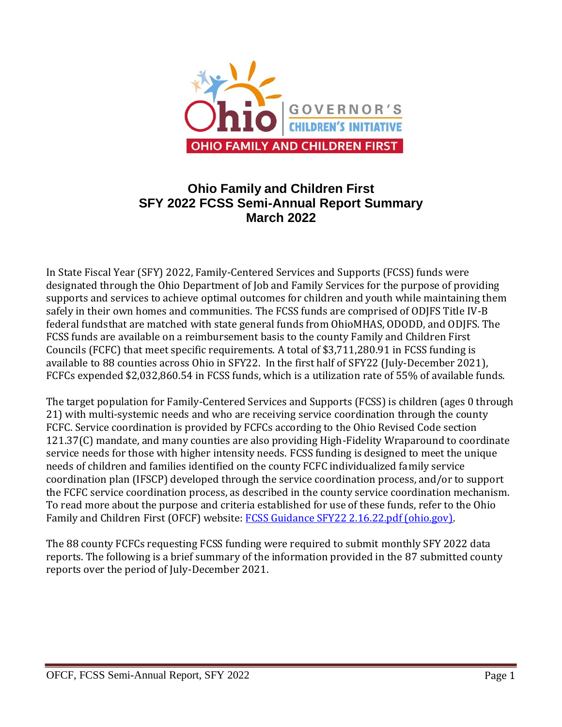

# **Ohio Family and Children First SFY 2022 FCSS Semi-Annual Report Summary March 2022**

In State Fiscal Year (SFY) 2022, Family-Centered Services and Supports (FCSS) funds were designated through the Ohio Department of Job and Family Services for the purpose of providing supports and services to achieve optimal outcomes for children and youth while maintaining them safely in their own homes and communities. The FCSS funds are comprised of ODJFS Title IV-B federal fundsthat are matched with state general funds from OhioMHAS, ODODD, and ODJFS. The FCSS funds are available on a reimbursement basis to the county Family and Children First Councils (FCFC) that meet specific requirements. A total of \$3,711,280.91 in FCSS funding is available to 88 counties across Ohio in SFY22. In the first half of SFY22 (July-December 2021), FCFCs expended \$2,032,860.54 in FCSS funds, which is a utilization rate of 55% of available funds.

The target population for Family-Centered Services and Supports (FCSS) is children (ages 0 through 21) with multi-systemic needs and who are receiving service coordination through the county FCFC. Service coordination is provided by FCFCs according to the Ohio Revised Code section 121.37(C) mandate, and many counties are also providing High-Fidelity Wraparound to coordinate service needs for those with higher intensity needs. FCSS funding is designed to meet the unique needs of children and families identified on the county FCFC individualized family service coordination plan (IFSCP) developed through the service coordination process, and/or to support the FCFC service coordination process, as described in the county service coordination mechanism. To read more about the purpose and criteria established for use of these funds, refer to the Ohio Family and Children First (OFCF) website: [FCSS Guidance SFY22 2.16.22.pdf \(ohio.gov\).](https://www.fcf.ohio.gov/Portals/0/Home/Shared%20Accountability/Funding%20Information/FCSS%20Guidance%20SFY22%202.16.22.pdf?ver=k_OgYMfbOsKn51wQ1FvXbQ%3d%3d)

The 88 county FCFCs requesting FCSS funding were required to submit monthly SFY 2022 data reports. The following is a brief summary of the information provided in the 87 submitted county reports over the period of July-December 2021.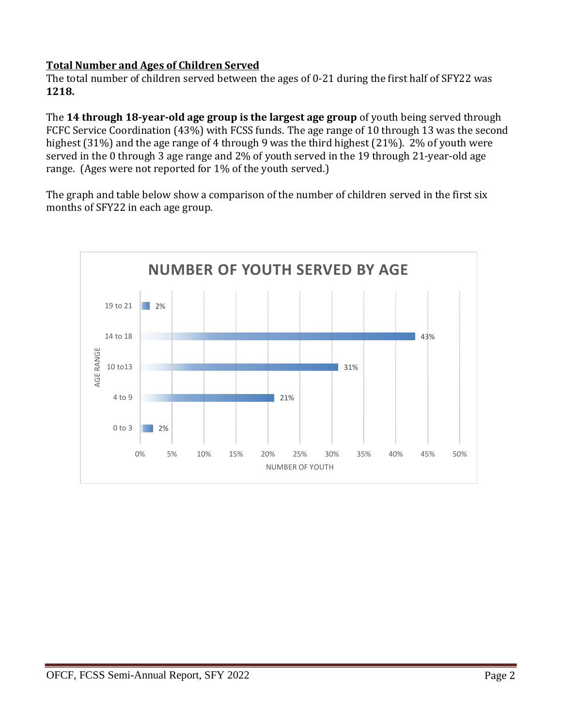## **Total Number and Ages of Children Served**

The total number of children served between the ages of 0-21 during the first half of SFY22 was **1218.**

The **14 through 18-year-old age group is the largest age group** of youth being served through FCFC Service Coordination (43%) with FCSS funds. The age range of 10 through 13 was the second highest (31%) and the age range of 4 through 9 was the third highest (21%). 2% of youth were served in the 0 through 3 age range and 2% of youth served in the 19 through 21-year-old age range. (Ages were not reported for 1% of the youth served.)

The graph and table below show a comparison of the number of children served in the first six months of SFY22 in each age group.

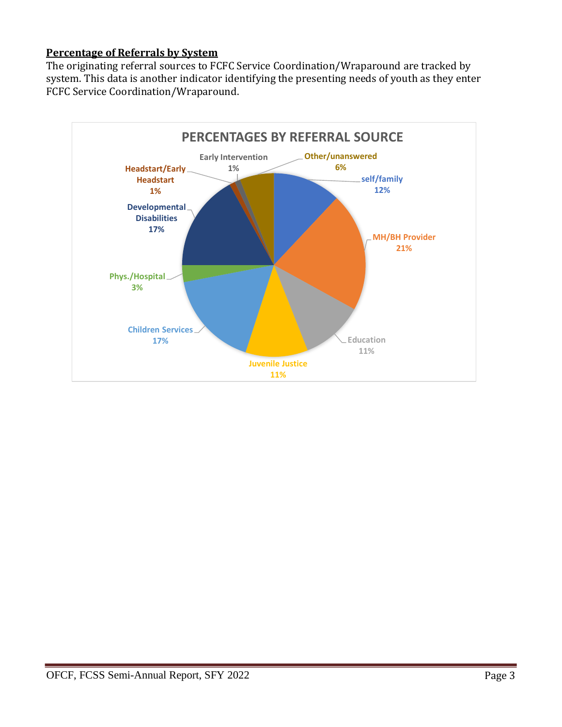## **Percentage of Referrals by System**

The originating referral sources to FCFC Service Coordination/Wraparound are tracked by system. This data is another indicator identifying the presenting needs of youth as they enter FCFC Service Coordination/Wraparound.

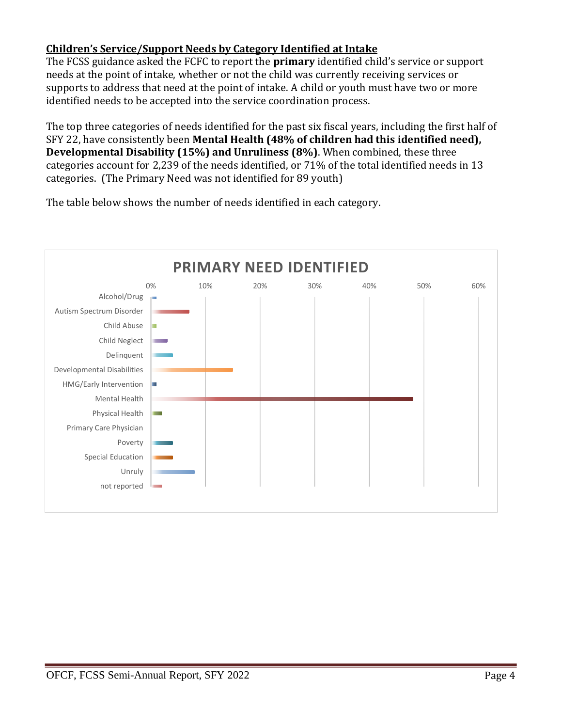## **Children's Service/Support Needs by Category Identified at Intake**

The FCSS guidance asked the FCFC to report the **primary** identified child's service or support needs at the point of intake, whether or not the child was currently receiving services or supports to address that need at the point of intake. A child or youth must have two or more identified needs to be accepted into the service coordination process.

The top three categories of needs identified for the past six fiscal years, including the first half of SFY 22, have consistently been **Mental Health (48% of children had this identified need), Developmental Disability (15%) and Unruliness (8%)**. When combined, these three categories account for 2,239 of the needs identified, or 71% of the total identified needs in 13 categories. (The Primary Need was not identified for 89 youth)



The table below shows the number of needs identified in each category.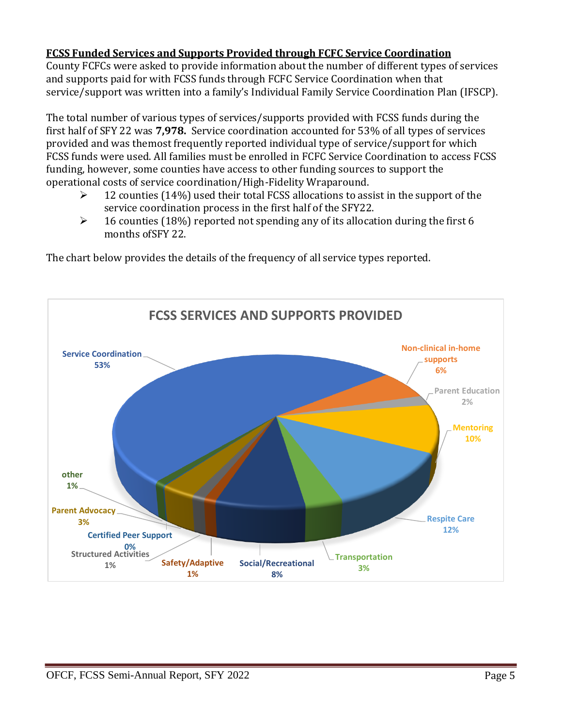#### **FCSS Funded Services and Supports Provided through FCFC Service Coordination**

County FCFCs were asked to provide information about the number of different types of services and supports paid for with FCSS funds through FCFC Service Coordination when that service/support was written into a family's Individual Family Service Coordination Plan (IFSCP).

The total number of various types of services/supports provided with FCSS funds during the first half of SFY 22 was **7,978.** Service coordination accounted for 53% of all types of services provided and was themost frequently reported individual type of service/support for which FCSS funds were used. All families must be enrolled in FCFC Service Coordination to access FCSS funding, however, some counties have access to other funding sources to support the operational costs of service coordination/High-Fidelity Wraparound.

- $\triangleright$  12 counties (14%) used their total FCSS allocations to assist in the support of the service coordination process in the first half of the SFY22.
- $\geq$  16 counties (18%) reported not spending any of its allocation during the first 6 months ofSFY 22.

The chart below provides the details of the frequency of all service types reported.

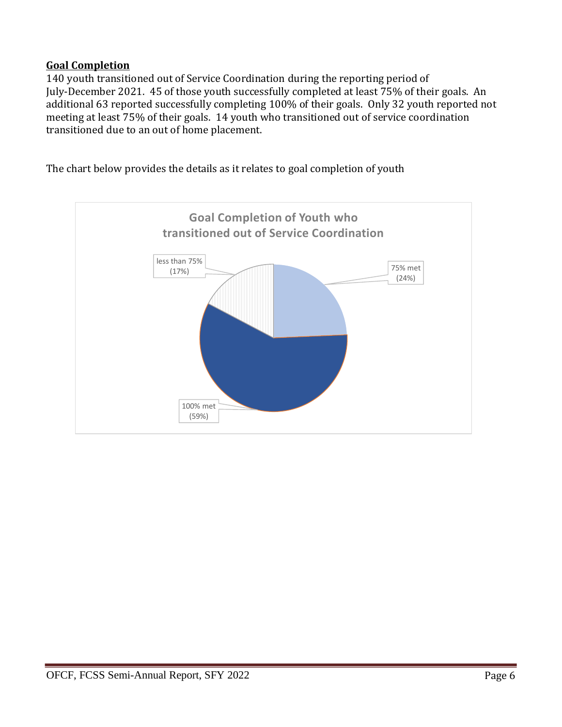#### **Goal Completion**

140 youth transitioned out of Service Coordination during the reporting period of July-December 2021. 45 of those youth successfully completed at least 75% of their goals. An additional 63 reported successfully completing 100% of their goals. Only 32 youth reported not meeting at least 75% of their goals. 14 youth who transitioned out of service coordination transitioned due to an out of home placement.

The chart below provides the details as it relates to goal completion of youth